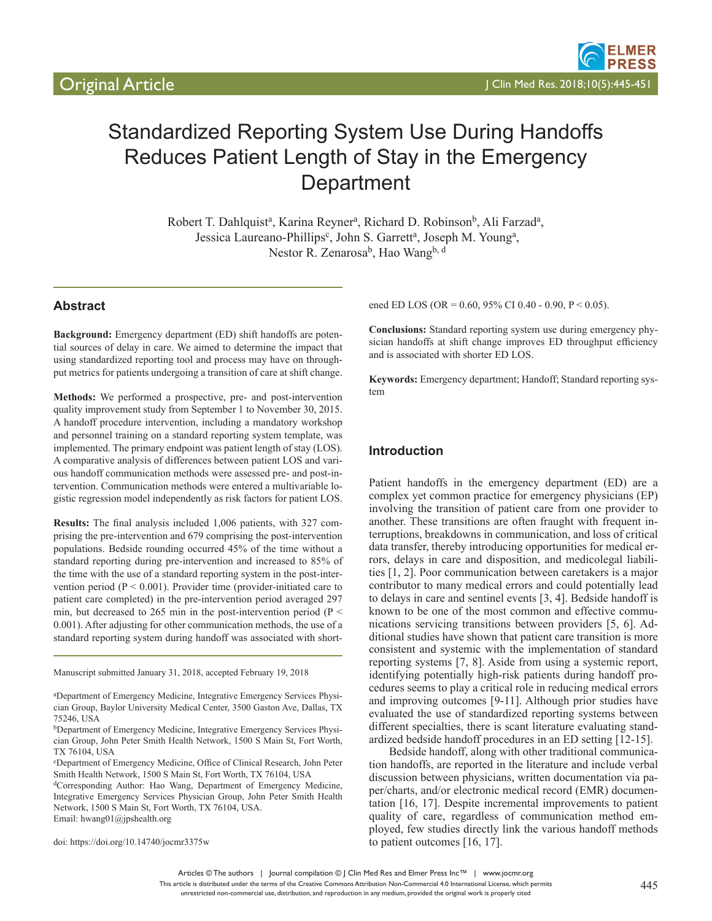

# Standardized Reporting System Use During Handoffs Reduces Patient Length of Stay in the Emergency **Department**

Robert T. Dahlquist<sup>a</sup>, Karina Reyner<sup>a</sup>, Richard D. Robinson<sup>b</sup>, Ali Farzad<sup>a</sup>, Jessica Laureano-Phillips<sup>c</sup>, John S. Garrett<sup>a</sup>, Joseph M. Young<sup>a</sup>, Nestor R. Zenarosa<sup>b</sup>, Hao Wang<sup>b, d</sup>

# **Abstract**

**Background:** Emergency department (ED) shift handoffs are potential sources of delay in care. We aimed to determine the impact that using standardized reporting tool and process may have on throughput metrics for patients undergoing a transition of care at shift change.

**Methods:** We performed a prospective, pre- and post-intervention quality improvement study from September 1 to November 30, 2015. A handoff procedure intervention, including a mandatory workshop and personnel training on a standard reporting system template, was implemented. The primary endpoint was patient length of stay (LOS). A comparative analysis of differences between patient LOS and various handoff communication methods were assessed pre- and post-intervention. Communication methods were entered a multivariable logistic regression model independently as risk factors for patient LOS.

**Results:** The final analysis included 1,006 patients, with 327 comprising the pre-intervention and 679 comprising the post-intervention populations. Bedside rounding occurred 45% of the time without a standard reporting during pre-intervention and increased to 85% of the time with the use of a standard reporting system in the post-intervention period ( $P < 0.001$ ). Provider time (provider-initiated care to patient care completed) in the pre-intervention period averaged 297 min, but decreased to 265 min in the post-intervention period ( $P \le$ 0.001). After adjusting for other communication methods, the use of a standard reporting system during handoff was associated with short-

Manuscript submitted January 31, 2018, accepted February 19, 2018

a Department of Emergency Medicine, Integrative Emergency Services Physician Group, Baylor University Medical Center, 3500 Gaston Ave, Dallas, TX 75246, USA

bDepartment of Emergency Medicine, Integrative Emergency Services Physician Group, John Peter Smith Health Network, 1500 S Main St, Fort Worth, TX 76104, USA

c Department of Emergency Medicine, Office of Clinical Research, John Peter Smith Health Network, 1500 S Main St, Fort Worth, TX 76104, USA

dCorresponding Author: Hao Wang, Department of Emergency Medicine, Integrative Emergency Services Physician Group, John Peter Smith Health Network, 1500 S Main St, Fort Worth, TX 76104, USA. Email: hwang01@jpshealth.org

doi: https://doi.org/10.14740/jocmr3375w

ened ED LOS (OR = 0.60, 95% CI 0.40 - 0.90, P < 0.05).

**Conclusions:** Standard reporting system use during emergency physician handoffs at shift change improves ED throughput efficiency and is associated with shorter ED LOS.

**Keywords:** Emergency department; Handoff; Standard reporting system

## **Introduction**

Patient handoffs in the emergency department (ED) are a complex yet common practice for emergency physicians (EP) involving the transition of patient care from one provider to another. These transitions are often fraught with frequent interruptions, breakdowns in communication, and loss of critical data transfer, thereby introducing opportunities for medical errors, delays in care and disposition, and medicolegal liabilities [1, 2]. Poor communication between caretakers is a major contributor to many medical errors and could potentially lead to delays in care and sentinel events [3, 4]. Bedside handoff is known to be one of the most common and effective communications servicing transitions between providers [5, 6]. Additional studies have shown that patient care transition is more consistent and systemic with the implementation of standard reporting systems [7, 8]. Aside from using a systemic report, identifying potentially high-risk patients during handoff procedures seems to play a critical role in reducing medical errors and improving outcomes [9-11]. Although prior studies have evaluated the use of standardized reporting systems between different specialties, there is scant literature evaluating standardized bedside handoff procedures in an ED setting [12-15].

Bedside handoff, along with other traditional communication handoffs, are reported in the literature and include verbal discussion between physicians, written documentation via paper/charts, and/or electronic medical record (EMR) documentation [16, 17]. Despite incremental improvements to patient quality of care, regardless of communication method employed, few studies directly link the various handoff methods to patient outcomes [16, 17].

Articles © The authors | Journal compilation © J Clin Med Res and Elmer Press Inc™ | www.jocmr.org This article is distributed under the terms of the Creative Commons Attribution Non-Commercial 4.0 International License, which permits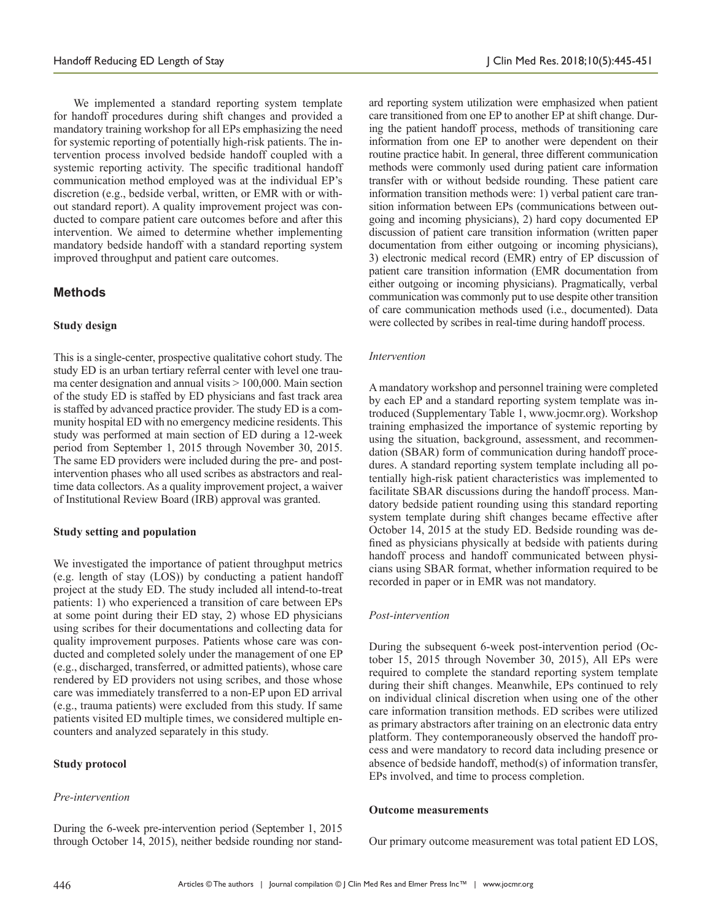We implemented a standard reporting system template for handoff procedures during shift changes and provided a mandatory training workshop for all EPs emphasizing the need for systemic reporting of potentially high-risk patients. The intervention process involved bedside handoff coupled with a systemic reporting activity. The specific traditional handoff communication method employed was at the individual EP's discretion (e.g., bedside verbal, written, or EMR with or without standard report). A quality improvement project was conducted to compare patient care outcomes before and after this intervention. We aimed to determine whether implementing mandatory bedside handoff with a standard reporting system improved throughput and patient care outcomes.

# **Methods**

## **Study design**

This is a single-center, prospective qualitative cohort study. The study ED is an urban tertiary referral center with level one trauma center designation and annual visits > 100,000. Main section of the study ED is staffed by ED physicians and fast track area is staffed by advanced practice provider. The study ED is a community hospital ED with no emergency medicine residents. This study was performed at main section of ED during a 12-week period from September 1, 2015 through November 30, 2015. The same ED providers were included during the pre- and postintervention phases who all used scribes as abstractors and realtime data collectors. As a quality improvement project, a waiver of Institutional Review Board (IRB) approval was granted.

## **Study setting and population**

We investigated the importance of patient throughput metrics (e.g. length of stay (LOS)) by conducting a patient handoff project at the study ED. The study included all intend-to-treat patients: 1) who experienced a transition of care between EPs at some point during their ED stay, 2) whose ED physicians using scribes for their documentations and collecting data for quality improvement purposes. Patients whose care was conducted and completed solely under the management of one EP (e.g., discharged, transferred, or admitted patients), whose care rendered by ED providers not using scribes, and those whose care was immediately transferred to a non-EP upon ED arrival (e.g., trauma patients) were excluded from this study. If same patients visited ED multiple times, we considered multiple encounters and analyzed separately in this study.

## **Study protocol**

## *Pre-intervention*

During the 6-week pre-intervention period (September 1, 2015 through October 14, 2015), neither bedside rounding nor standard reporting system utilization were emphasized when patient care transitioned from one EP to another EP at shift change. During the patient handoff process, methods of transitioning care information from one EP to another were dependent on their routine practice habit. In general, three different communication methods were commonly used during patient care information transfer with or without bedside rounding. These patient care information transition methods were: 1) verbal patient care transition information between EPs (communications between outgoing and incoming physicians), 2) hard copy documented EP discussion of patient care transition information (written paper documentation from either outgoing or incoming physicians), 3) electronic medical record (EMR) entry of EP discussion of patient care transition information (EMR documentation from either outgoing or incoming physicians). Pragmatically, verbal communication was commonly put to use despite other transition of care communication methods used (i.e., documented). Data were collected by scribes in real-time during handoff process.

## *Intervention*

A mandatory workshop and personnel training were completed by each EP and a standard reporting system template was introduced (Supplementary Table 1, www.jocmr.org). Workshop training emphasized the importance of systemic reporting by using the situation, background, assessment, and recommendation (SBAR) form of communication during handoff procedures. A standard reporting system template including all potentially high-risk patient characteristics was implemented to facilitate SBAR discussions during the handoff process. Mandatory bedside patient rounding using this standard reporting system template during shift changes became effective after October 14, 2015 at the study ED. Bedside rounding was defined as physicians physically at bedside with patients during handoff process and handoff communicated between physicians using SBAR format, whether information required to be recorded in paper or in EMR was not mandatory.

## *Post-intervention*

During the subsequent 6-week post-intervention period (October 15, 2015 through November 30, 2015), All EPs were required to complete the standard reporting system template during their shift changes. Meanwhile, EPs continued to rely on individual clinical discretion when using one of the other care information transition methods. ED scribes were utilized as primary abstractors after training on an electronic data entry platform. They contemporaneously observed the handoff process and were mandatory to record data including presence or absence of bedside handoff, method(s) of information transfer, EPs involved, and time to process completion.

#### **Outcome measurements**

Our primary outcome measurement was total patient ED LOS,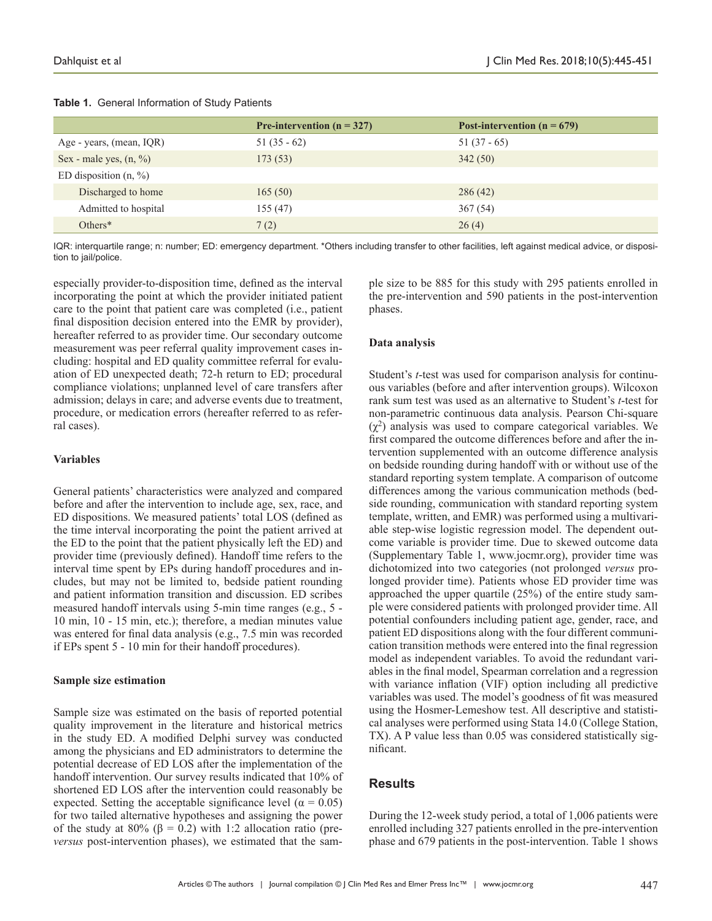|                                    | <b>Pre-intervention (n = 327)</b> | Post-intervention ( $n = 679$ ) |
|------------------------------------|-----------------------------------|---------------------------------|
| Age - years, (mean, IQR)           | $51(35-62)$                       | $51(37-65)$                     |
| Sex - male yes, $(n, \frac{9}{6})$ | 173(53)                           | 342(50)                         |
| ED disposition $(n, %)$            |                                   |                                 |
| Discharged to home                 | 165(50)                           | 286(42)                         |
| Admitted to hospital               | 155(47)                           | 367(54)                         |
| Others $*$                         | 7(2)                              | 26(4)                           |

#### **Table 1.** General Information of Study Patients

IQR: interquartile range; n: number; ED: emergency department. \*Others including transfer to other facilities, left against medical advice, or disposition to jail/police.

especially provider-to-disposition time, defined as the interval incorporating the point at which the provider initiated patient care to the point that patient care was completed (i.e., patient final disposition decision entered into the EMR by provider), hereafter referred to as provider time. Our secondary outcome measurement was peer referral quality improvement cases including: hospital and ED quality committee referral for evaluation of ED unexpected death; 72-h return to ED; procedural compliance violations; unplanned level of care transfers after admission; delays in care; and adverse events due to treatment, procedure, or medication errors (hereafter referred to as referral cases).

#### **Variables**

General patients' characteristics were analyzed and compared before and after the intervention to include age, sex, race, and ED dispositions. We measured patients' total LOS (defined as the time interval incorporating the point the patient arrived at the ED to the point that the patient physically left the ED) and provider time (previously defined). Handoff time refers to the interval time spent by EPs during handoff procedures and includes, but may not be limited to, bedside patient rounding and patient information transition and discussion. ED scribes measured handoff intervals using 5-min time ranges (e.g., 5 - 10 min, 10 - 15 min, etc.); therefore, a median minutes value was entered for final data analysis (e.g., 7.5 min was recorded if EPs spent 5 - 10 min for their handoff procedures).

#### **Sample size estimation**

Sample size was estimated on the basis of reported potential quality improvement in the literature and historical metrics in the study ED. A modified Delphi survey was conducted among the physicians and ED administrators to determine the potential decrease of ED LOS after the implementation of the handoff intervention. Our survey results indicated that 10% of shortened ED LOS after the intervention could reasonably be expected. Setting the acceptable significance level ( $\alpha = 0.05$ ) for two tailed alternative hypotheses and assigning the power of the study at 80% ( $\beta$  = 0.2) with 1:2 allocation ratio (pre*versus* post-intervention phases), we estimated that the sample size to be 885 for this study with 295 patients enrolled in the pre-intervention and 590 patients in the post-intervention phases.

## **Data analysis**

Student's *t*-test was used for comparison analysis for continuous variables (before and after intervention groups). Wilcoxon rank sum test was used as an alternative to Student's *t*-test for non-parametric continuous data analysis. Pearson Chi-square  $(\chi^2)$  analysis was used to compare categorical variables. We first compared the outcome differences before and after the intervention supplemented with an outcome difference analysis on bedside rounding during handoff with or without use of the standard reporting system template. A comparison of outcome differences among the various communication methods (bedside rounding, communication with standard reporting system template, written, and EMR) was performed using a multivariable step-wise logistic regression model. The dependent outcome variable is provider time. Due to skewed outcome data (Supplementary Table 1, www.jocmr.org), provider time was dichotomized into two categories (not prolonged *versus* prolonged provider time). Patients whose ED provider time was approached the upper quartile (25%) of the entire study sample were considered patients with prolonged provider time. All potential confounders including patient age, gender, race, and patient ED dispositions along with the four different communication transition methods were entered into the final regression model as independent variables. To avoid the redundant variables in the final model, Spearman correlation and a regression with variance inflation (VIF) option including all predictive variables was used. The model's goodness of fit was measured using the Hosmer-Lemeshow test. All descriptive and statistical analyses were performed using Stata 14.0 (College Station, TX). A P value less than 0.05 was considered statistically significant.

## **Results**

During the 12-week study period, a total of 1,006 patients were enrolled including 327 patients enrolled in the pre-intervention phase and 679 patients in the post-intervention. Table 1 shows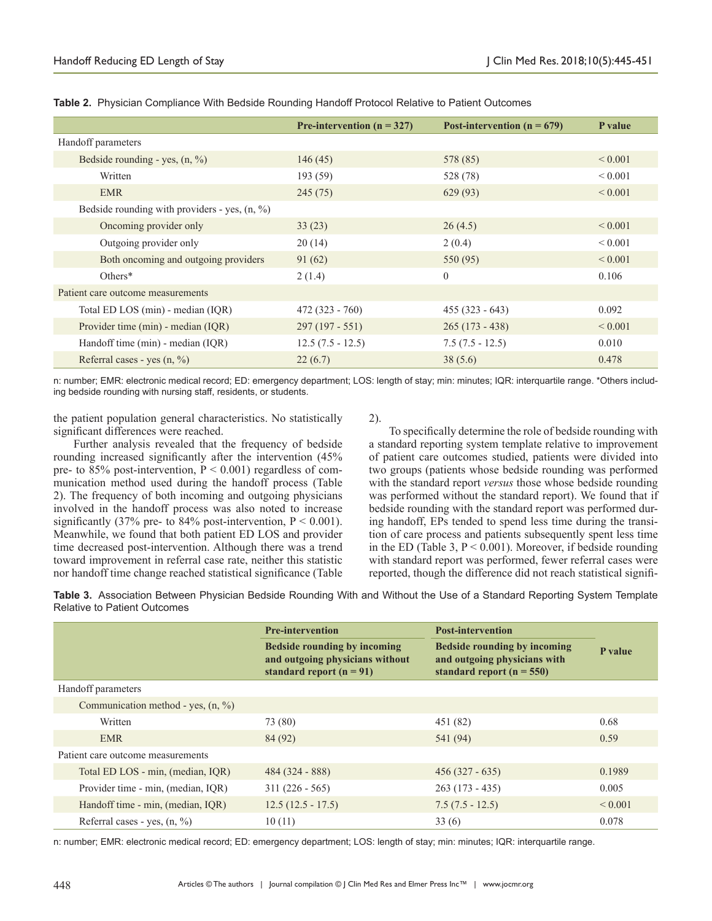|                                                 | Pre-intervention ( $n = 327$ ) | Post-intervention ( $n = 679$ ) | P value      |
|-------------------------------------------------|--------------------------------|---------------------------------|--------------|
| Handoff parameters                              |                                |                                 |              |
| Bedside rounding - yes, $(n, %)$                | 146(45)                        | 578 (85)                        | ${}_{0.001}$ |
| Written                                         | 193(59)                        | 528 (78)                        | ${}_{0.001}$ |
| <b>EMR</b>                                      | 245(75)                        | 629(93)                         | ${}_{0.001}$ |
| Bedside rounding with providers - yes, $(n, %)$ |                                |                                 |              |
| Oncoming provider only                          | 33(23)                         | 26(4.5)                         | ${}< 0.001$  |
| Outgoing provider only                          | 20(14)                         | 2(0.4)                          | ${}_{0.001}$ |
| Both oncoming and outgoing providers            | 91(62)                         | 550 (95)                        | ${}< 0.001$  |
| $Others*$                                       | 2(1.4)                         | $\theta$                        | 0.106        |
| Patient care outcome measurements               |                                |                                 |              |
| Total ED LOS (min) - median (IQR)               | $472(323 - 760)$               | $455(323 - 643)$                | 0.092        |
| Provider time (min) - median (IQR)              | $297(197 - 551)$               | $265(173 - 438)$                | ${}_{0.001}$ |
| Handoff time (min) - median (IQR)               | $12.5(7.5 - 12.5)$             | $7.5(7.5 - 12.5)$               | 0.010        |
| Referral cases - yes $(n, %)$                   | 22(6.7)                        | 38(5.6)                         | 0.478        |

**Table 2.** Physician Compliance With Bedside Rounding Handoff Protocol Relative to Patient Outcomes

n: number; EMR: electronic medical record; ED: emergency department; LOS: length of stay; min: minutes; IQR: interquartile range. \*Others including bedside rounding with nursing staff, residents, or students.

the patient population general characteristics. No statistically significant differences were reached.

Further analysis revealed that the frequency of bedside rounding increased significantly after the intervention (45% pre- to 85% post-intervention,  $P < 0.001$ ) regardless of communication method used during the handoff process (Table 2). The frequency of both incoming and outgoing physicians involved in the handoff process was also noted to increase significantly (37% pre- to 84% post-intervention,  $P < 0.001$ ). Meanwhile, we found that both patient ED LOS and provider time decreased post-intervention. Although there was a trend toward improvement in referral case rate, neither this statistic nor handoff time change reached statistical significance (Table 2).

To specifically determine the role of bedside rounding with a standard reporting system template relative to improvement of patient care outcomes studied, patients were divided into two groups (patients whose bedside rounding was performed with the standard report *versus* those whose bedside rounding was performed without the standard report). We found that if bedside rounding with the standard report was performed during handoff, EPs tended to spend less time during the transition of care process and patients subsequently spent less time in the ED (Table 3,  $P < 0.001$ ). Moreover, if bedside rounding with standard report was performed, fewer referral cases were reported, though the difference did not reach statistical signifi-

**Table 3.** Association Between Physician Bedside Rounding With and Without the Use of a Standard Reporting System Template Relative to Patient Outcomes

|                                                | <b>Pre-intervention</b>                                                                       | <b>Post-intervention</b>                                                                      |              |
|------------------------------------------------|-----------------------------------------------------------------------------------------------|-----------------------------------------------------------------------------------------------|--------------|
|                                                | Bedside rounding by incoming<br>and outgoing physicians without<br>standard report $(n = 91)$ | Bedside rounding by incoming<br>and outgoing physicians with<br>standard report ( $n = 550$ ) | P value      |
| Handoff parameters                             |                                                                                               |                                                                                               |              |
| Communication method - yes, $(n, \frac{9}{6})$ |                                                                                               |                                                                                               |              |
| Written                                        | 73 (80)                                                                                       | 451 (82)                                                                                      | 0.68         |
| <b>EMR</b>                                     | 84 (92)                                                                                       | 541 (94)                                                                                      | 0.59         |
| Patient care outcome measurements              |                                                                                               |                                                                                               |              |
| Total ED LOS - min, (median, IQR)              | $484(324 - 888)$                                                                              | $456(327 - 635)$                                                                              | 0.1989       |
| Provider time - min, (median, IQR)             | $311(226 - 565)$                                                                              | $263(173 - 435)$                                                                              | 0.005        |
| Handoff time - min, (median, IQR)              | $12.5(12.5 - 17.5)$                                                                           | $7.5(7.5 - 12.5)$                                                                             | ${}_{0.001}$ |
| Referral cases - yes. $(n, \frac{9}{6})$       | 10(11)                                                                                        | 33(6)                                                                                         | 0.078        |

n: number; EMR: electronic medical record; ED: emergency department; LOS: length of stay; min: minutes; IQR: interquartile range.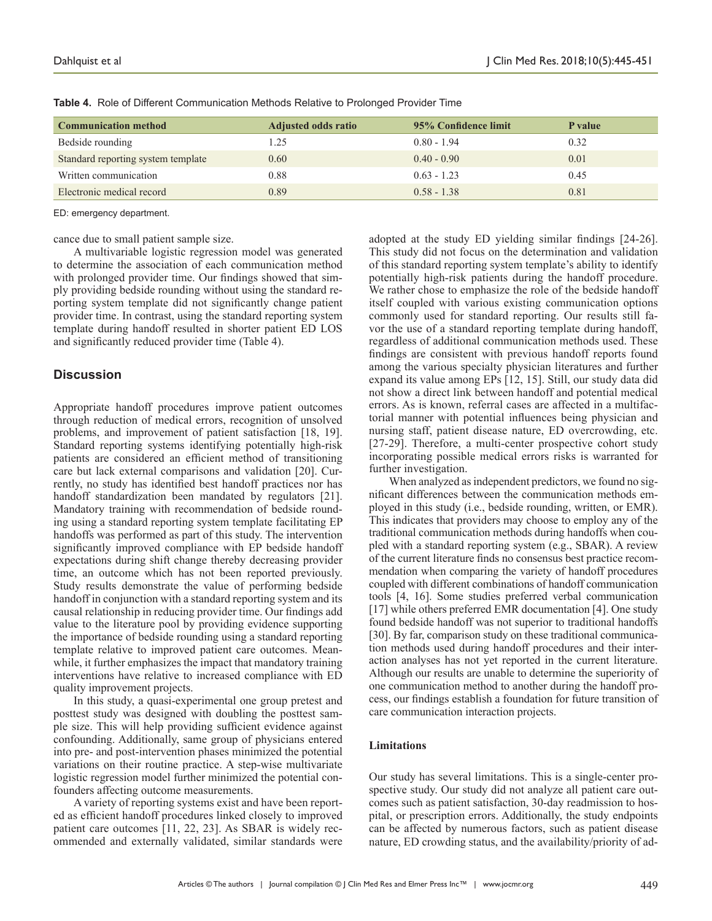| <b>Communication method</b>        | <b>Adjusted odds ratio</b> | 95% Confidence limit | P value |
|------------------------------------|----------------------------|----------------------|---------|
| Bedside rounding                   | 1.25                       | $0.80 - 1.94$        | 0.32    |
| Standard reporting system template | 0.60                       | $0.40 - 0.90$        | 0.01    |
| Written communication              | 0.88                       | $0.63 - 1.23$        | 0.45    |
| Electronic medical record          | 0.89                       | $0.58 - 1.38$        | 0.81    |

**Table 4.** Role of Different Communication Methods Relative to Prolonged Provider Time

ED: emergency department.

cance due to small patient sample size.

A multivariable logistic regression model was generated to determine the association of each communication method with prolonged provider time. Our findings showed that simply providing bedside rounding without using the standard reporting system template did not significantly change patient provider time. In contrast, using the standard reporting system template during handoff resulted in shorter patient ED LOS and significantly reduced provider time (Table 4).

# **Discussion**

Appropriate handoff procedures improve patient outcomes through reduction of medical errors, recognition of unsolved problems, and improvement of patient satisfaction [18, 19]. Standard reporting systems identifying potentially high-risk patients are considered an efficient method of transitioning care but lack external comparisons and validation [20]. Currently, no study has identified best handoff practices nor has handoff standardization been mandated by regulators [21]. Mandatory training with recommendation of bedside rounding using a standard reporting system template facilitating EP handoffs was performed as part of this study. The intervention significantly improved compliance with EP bedside handoff expectations during shift change thereby decreasing provider time, an outcome which has not been reported previously. Study results demonstrate the value of performing bedside handoff in conjunction with a standard reporting system and its causal relationship in reducing provider time. Our findings add value to the literature pool by providing evidence supporting the importance of bedside rounding using a standard reporting template relative to improved patient care outcomes. Meanwhile, it further emphasizes the impact that mandatory training interventions have relative to increased compliance with ED quality improvement projects.

In this study, a quasi-experimental one group pretest and posttest study was designed with doubling the posttest sample size. This will help providing sufficient evidence against confounding. Additionally, same group of physicians entered into pre- and post-intervention phases minimized the potential variations on their routine practice. A step-wise multivariate logistic regression model further minimized the potential confounders affecting outcome measurements.

A variety of reporting systems exist and have been reported as efficient handoff procedures linked closely to improved patient care outcomes [11, 22, 23]. As SBAR is widely recommended and externally validated, similar standards were

adopted at the study ED yielding similar findings [24-26]. This study did not focus on the determination and validation of this standard reporting system template's ability to identify potentially high-risk patients during the handoff procedure. We rather chose to emphasize the role of the bedside handoff itself coupled with various existing communication options commonly used for standard reporting. Our results still favor the use of a standard reporting template during handoff, regardless of additional communication methods used. These findings are consistent with previous handoff reports found among the various specialty physician literatures and further expand its value among EPs [12, 15]. Still, our study data did not show a direct link between handoff and potential medical errors. As is known, referral cases are affected in a multifactorial manner with potential influences being physician and nursing staff, patient disease nature, ED overcrowding, etc. [27-29]. Therefore, a multi-center prospective cohort study incorporating possible medical errors risks is warranted for further investigation.

When analyzed as independent predictors, we found no significant differences between the communication methods employed in this study (i.e., bedside rounding, written, or EMR). This indicates that providers may choose to employ any of the traditional communication methods during handoffs when coupled with a standard reporting system (e.g., SBAR). A review of the current literature finds no consensus best practice recommendation when comparing the variety of handoff procedures coupled with different combinations of handoff communication tools [4, 16]. Some studies preferred verbal communication [17] while others preferred EMR documentation [4]. One study found bedside handoff was not superior to traditional handoffs [30]. By far, comparison study on these traditional communication methods used during handoff procedures and their interaction analyses has not yet reported in the current literature. Although our results are unable to determine the superiority of one communication method to another during the handoff process, our findings establish a foundation for future transition of care communication interaction projects.

## **Limitations**

Our study has several limitations. This is a single-center prospective study. Our study did not analyze all patient care outcomes such as patient satisfaction, 30-day readmission to hospital, or prescription errors. Additionally, the study endpoints can be affected by numerous factors, such as patient disease nature, ED crowding status, and the availability/priority of ad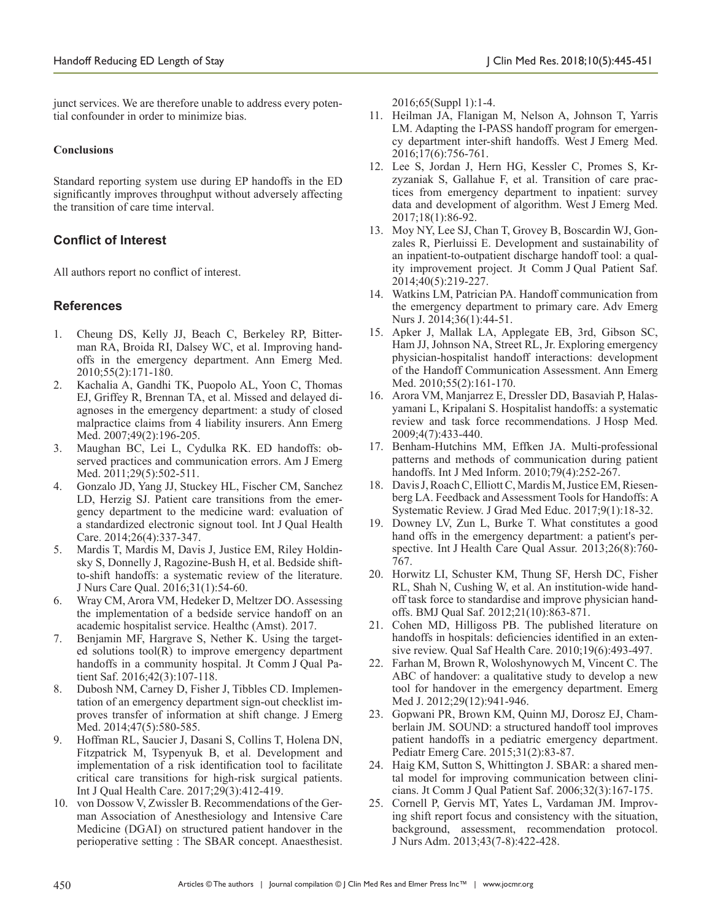junct services. We are therefore unable to address every potential confounder in order to minimize bias.

# **Conclusions**

Standard reporting system use during EP handoffs in the ED significantly improves throughput without adversely affecting the transition of care time interval.

# **Conflict of Interest**

All authors report no conflict of interest.

# **References**

- 1. Cheung DS, Kelly JJ, Beach C, Berkeley RP, Bitterman RA, Broida RI, Dalsey WC, et al. Improving handoffs in the emergency department. Ann Emerg Med. 2010;55(2):171-180.
- 2. Kachalia A, Gandhi TK, Puopolo AL, Yoon C, Thomas EJ, Griffey R, Brennan TA, et al. Missed and delayed diagnoses in the emergency department: a study of closed malpractice claims from 4 liability insurers. Ann Emerg Med. 2007;49(2):196-205.
- 3. Maughan BC, Lei L, Cydulka RK. ED handoffs: observed practices and communication errors. Am J Emerg Med. 2011;29(5):502-511.
- 4. Gonzalo JD, Yang JJ, Stuckey HL, Fischer CM, Sanchez LD, Herzig SJ. Patient care transitions from the emergency department to the medicine ward: evaluation of a standardized electronic signout tool. Int J Qual Health Care. 2014;26(4):337-347.
- 5. Mardis T, Mardis M, Davis J, Justice EM, Riley Holdinsky S, Donnelly J, Ragozine-Bush H, et al. Bedside shiftto-shift handoffs: a systematic review of the literature. J Nurs Care Qual. 2016;31(1):54-60.
- 6. Wray CM, Arora VM, Hedeker D, Meltzer DO. Assessing the implementation of a bedside service handoff on an academic hospitalist service. Healthc (Amst). 2017.
- 7. Benjamin MF, Hargrave S, Nether K. Using the targeted solutions tool(R) to improve emergency department handoffs in a community hospital. Jt Comm J Qual Patient Saf. 2016;42(3):107-118.
- 8. Dubosh NM, Carney D, Fisher J, Tibbles CD. Implementation of an emergency department sign-out checklist improves transfer of information at shift change. J Emerg Med. 2014;47(5):580-585.
- 9. Hoffman RL, Saucier J, Dasani S, Collins T, Holena DN, Fitzpatrick M, Tsypenyuk B, et al. Development and implementation of a risk identification tool to facilitate critical care transitions for high-risk surgical patients. Int J Qual Health Care. 2017;29(3):412-419.
- 10. von Dossow V, Zwissler B. Recommendations of the German Association of Anesthesiology and Intensive Care Medicine (DGAI) on structured patient handover in the perioperative setting : The SBAR concept. Anaesthesist.

2016;65(Suppl 1):1-4.

- 11. Heilman JA, Flanigan M, Nelson A, Johnson T, Yarris LM. Adapting the I-PASS handoff program for emergency department inter-shift handoffs. West J Emerg Med. 2016;17(6):756-761.
- 12. Lee S, Jordan J, Hern HG, Kessler C, Promes S, Krzyzaniak S, Gallahue F, et al. Transition of care practices from emergency department to inpatient: survey data and development of algorithm. West J Emerg Med. 2017;18(1):86-92.
- 13. Moy NY, Lee SJ, Chan T, Grovey B, Boscardin WJ, Gonzales R, Pierluissi E. Development and sustainability of an inpatient-to-outpatient discharge handoff tool: a quality improvement project. Jt Comm J Qual Patient Saf. 2014;40(5):219-227.
- 14. Watkins LM, Patrician PA. Handoff communication from the emergency department to primary care. Adv Emerg Nurs J. 2014;36(1):44-51.
- 15. Apker J, Mallak LA, Applegate EB, 3rd, Gibson SC, Ham JJ, Johnson NA, Street RL, Jr. Exploring emergency physician-hospitalist handoff interactions: development of the Handoff Communication Assessment. Ann Emerg Med. 2010;55(2):161-170.
- 16. Arora VM, Manjarrez E, Dressler DD, Basaviah P, Halasyamani L, Kripalani S. Hospitalist handoffs: a systematic review and task force recommendations. J Hosp Med. 2009;4(7):433-440.
- 17. Benham-Hutchins MM, Effken JA. Multi-professional patterns and methods of communication during patient handoffs. Int J Med Inform. 2010;79(4):252-267.
- 18. Davis J, Roach C, Elliott C, Mardis M, Justice EM, Riesenberg LA. Feedback and Assessment Tools for Handoffs: A Systematic Review. J Grad Med Educ. 2017;9(1):18-32.
- 19. Downey LV, Zun L, Burke T. What constitutes a good hand offs in the emergency department: a patient's perspective. Int J Health Care Qual Assur. 2013;26(8):760- 767.
- 20. Horwitz LI, Schuster KM, Thung SF, Hersh DC, Fisher RL, Shah N, Cushing W, et al. An institution-wide handoff task force to standardise and improve physician handoffs. BMJ Qual Saf. 2012;21(10):863-871.
- 21. Cohen MD, Hilligoss PB. The published literature on handoffs in hospitals: deficiencies identified in an extensive review. Qual Saf Health Care. 2010;19(6):493-497.
- 22. Farhan M, Brown R, Woloshynowych M, Vincent C. The ABC of handover: a qualitative study to develop a new tool for handover in the emergency department. Emerg Med J. 2012;29(12):941-946.
- 23. Gopwani PR, Brown KM, Quinn MJ, Dorosz EJ, Chamberlain JM. SOUND: a structured handoff tool improves patient handoffs in a pediatric emergency department. Pediatr Emerg Care. 2015;31(2):83-87.
- 24. Haig KM, Sutton S, Whittington J. SBAR: a shared mental model for improving communication between clinicians. Jt Comm J Qual Patient Saf. 2006;32(3):167-175.
- 25. Cornell P, Gervis MT, Yates L, Vardaman JM. Improving shift report focus and consistency with the situation, background, assessment, recommendation protocol. J Nurs Adm. 2013;43(7-8):422-428.